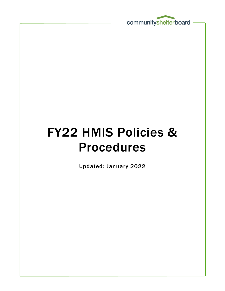

# FY22 HMIS Policies & Procedures

Updated: January 2022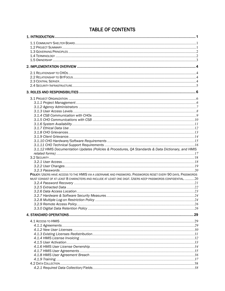| 3.1.12 HMIS Documentation Updates (Policies & Procedures, QA Standards & Data Dictionary, and HMIS          |  |
|-------------------------------------------------------------------------------------------------------------|--|
|                                                                                                             |  |
|                                                                                                             |  |
|                                                                                                             |  |
|                                                                                                             |  |
| POLICY: USERS HAVE ACCESS TO THE HMIS VIA A USERNAME AND PASSWORD. PASSWORDS RESET EVERY 90 DAYS. PASSWORDS |  |
| MUST CONSIST OF AT LEAST 8 CHARACTERS AND INCLUDE AT LEAST ONE DIGIT. USERS KEEP PASSWORDS CONFIDENTIAL, 20 |  |
|                                                                                                             |  |
|                                                                                                             |  |
|                                                                                                             |  |
|                                                                                                             |  |
|                                                                                                             |  |
|                                                                                                             |  |
|                                                                                                             |  |
|                                                                                                             |  |
|                                                                                                             |  |
|                                                                                                             |  |
|                                                                                                             |  |
|                                                                                                             |  |
|                                                                                                             |  |
|                                                                                                             |  |
|                                                                                                             |  |
|                                                                                                             |  |
|                                                                                                             |  |
|                                                                                                             |  |
|                                                                                                             |  |
|                                                                                                             |  |

# **TABLE OF CONTENTS**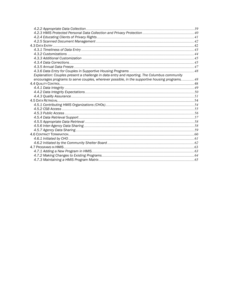| Explanation: Couples present a challenge in data entry and reporting. The Columbus community  |  |
|-----------------------------------------------------------------------------------------------|--|
| encourages programs to serve couples, wherever possible, in the supportive housing programs48 |  |
|                                                                                               |  |
|                                                                                               |  |
|                                                                                               |  |
|                                                                                               |  |
|                                                                                               |  |
|                                                                                               |  |
|                                                                                               |  |
|                                                                                               |  |
|                                                                                               |  |
|                                                                                               |  |
|                                                                                               |  |
|                                                                                               |  |
|                                                                                               |  |
|                                                                                               |  |
|                                                                                               |  |
|                                                                                               |  |
|                                                                                               |  |
|                                                                                               |  |
|                                                                                               |  |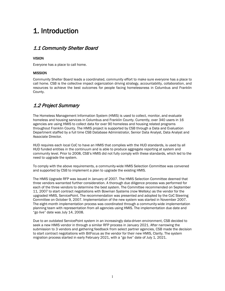# <span id="page-3-0"></span>1. Introduction

#### <span id="page-3-1"></span>1.1 Community Shelter Board

#### VISION

Everyone has a place to call home.

#### **MISSION**

Community Shelter Board leads a coordinated, community effort to make sure everyone has a place to call home. CSB is the collective impact organization driving strategy, accountability, collaboration, and resources to achieve the best outcomes for people facing homelessness in Columbus and Franklin County.

#### <span id="page-3-2"></span>1.2 Project Summary

The Homeless Management Information System (HMIS) is used to collect, monitor, and evaluate homeless and housing services in Columbus and Franklin County. Currently, over 340 users in 16 agencies are using HMIS to collect data for over 90 homeless and housing related programs throughout Franklin County. The HMIS project is supported by CSB through a Data and Evaluation Department staffed by a full time CSB Database Administrator, Senior Data Analyst, Data Analyst and Associate Director.

HUD requires each local CoC to have an HMIS that complies with the HUD standards, is used by all HUD funded entities in the continuum and is able to produce aggregate reporting at system and community level. Prior to 2008, CSB's HMIS did not fully comply with these standards, which led to the need to upgrade the system.

To comply with the above requirements, a community-wide HMIS Selection Committee was convened and supported by CSB to implement a plan to upgrade the existing HMIS.

The HMIS Upgrade RFP was issued in January of 2007. The HMIS Selection Committee deemed that three vendors warranted further consideration. A thorough due diligence process was performed for each of the three vendors to determine the best system. The Committee recommended on September 11, 2007 to start contract negotiations with Bowman Systems (now Wellsky) as the vendor for the upgraded HMIS, ServicePoint. The recommendation was presented and adopted by the CoC Steering Committee on October 9, 2007. Implementation of the new system was started in November 2007. The eight-month implementation process was coordinated through a community-wide implementation planning team with representation from all agencies using HMIS. The implementation due date and "go live" date was July 14, 2008.

Due to an outdated ServicePoint system in an increasingly data-driven environment, CSB decided to seek a new HMIS vendor in through a similar RFP process in January 2021. After narrowing the submission to 3 vendors and gathering feedback from select partner agencies, CSB made the decision to start contract negotiations with BitFocus as the vendor for their new HMIS, Clarity. The system migration process started in early February 2021, with a "go live" date of July 1, 2021.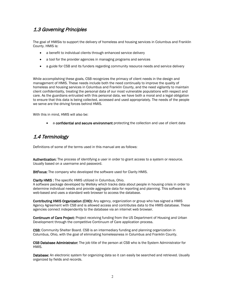#### <span id="page-4-0"></span>1.3 Governing Principles

The goal of HMISis to support the delivery of homeless and housing services in Columbus and Franklin County. HMIS is:

- a benefit to individual clients through enhanced service delivery
- a tool for the provider agencies in managing programs and services
- a guide for CSB and its funders regarding community resource needs and service delivery

While accomplishing these goals, CSB recognizes the primacy of client needs in the design and management of HMIS. These needs include both the need continually to improve the quality of homeless and housing services in Columbus and Franklin County, and the need vigilantly to maintain client confidentiality, treating the personal data of our most vulnerable populations with respect and care. As the guardians entrusted with this personal data, we have both a moral and a legal obligation to ensure that this data is being collected, accessed and used appropriately. The needs of the people we serve are the driving forces behind HMIS.

With this in mind, HMIS will also be:

a confidential and secure environment protecting the collection and use of client data

#### <span id="page-4-1"></span>1.4 Terminology

Definitions of some of the terms used in this manual are as follows:

Authentication: The process of identifying a user in order to grant access to a system or resource. Usually based on a username and password.

BitFocus: The company who developed the software used for Clarity HMIS.

Clarity HMIS : The specific HMIS utilized in Columbus, Ohio.

A software package developed by Wellsky which tracks data about people in housing crisis in order to determine individual needs and provide aggregate data for reporting and planning. This software is web-based and uses a standard web browser to access the database.

Contributing HMIS Organization (CHO): Any agency, organization or group who has signed a HMIS Agency Agreement with CSB and is allowed access and contributes data to the HMIS database. These agencies connect independently to the database via an internet web browser.

Continuum of Care Project: Project receiving funding from the US Department of Housing and Urban Development through the competitive Continuum of Care application process.

CSB: Community Shelter Board. CSB is an intermediary funding and planning organization in Columbus, Ohio, with the goal of eliminating homelessness in Columbus and Franklin County.

CSB Database Administrator: The job title of the person at CSB who is the System Administrator for HMIS.

Database: An electronic system for organizing data so it can easily be searched and retrieved. Usually organized by fields and records.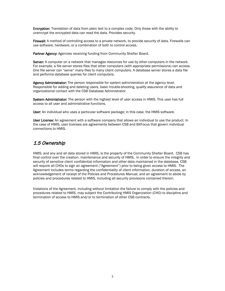Encryption: Translation of data from plain text to a complex code. Only those with the ability to unencrypt the encrypted data can read the data. Provides security.

Firewall: A method of controlling access to a private network, to provide security of data. Firewalls can use software, hardware, or a combination of both to control access.

Partner Agency: Agencies receiving funding from Community Shelter Board.

Server: A computer on a network that manages resources for use by other computers in the network. For example, a file server stores files that other computers (with appropriate permissions) can access. One file server can "serve" many files to many client computers. A database server stores a data file and performs database queries for client computers.

Agency Administrator: The person responsible for system administration at the agency level. Responsible for adding and deleting users, basic trouble-shooting, quality assurance of data and organizational contact with the CSB Database Administrator.

System Administrator: The person with the highest level of user access in HMIS. This user has full access to all user and administrative functions.

User: An individual who uses a particular software package; in this case, the HMIS software.

User License: An agreement with a software company that allows an individual to use the product. In the case of HMIS, user licenses are agreements between CSB and BitFocus that govern individual connections to HMIS.

#### <span id="page-5-0"></span>1.5 Ownership

HMIS, and any and all data stored in HMIS, is the property of the Community Shelter Board. CSB has final control over the creation, maintenance and security of HMIS. In order to ensure the integrity and security of sensitive client confidential information and other data maintained in the database, CSB will require all CHOs to sign an agreement ("Agreement") prior to being given access to HMIS. The Agreement includes terms regarding the confidentiality of client information, duration of access, an acknowledgement of receipt of the Policies and Procedures Manual, and an agreement to abide by policies and procedures related to HMIS, including all security provisions contained therein.

Violations of the Agreement, including without limitation the failure to comply with the policies and procedures related to HMIS, may subject the Contributing HMIS Organization (CHO) to discipline and termination of access to HMIS and/or to termination of other CSB contracts.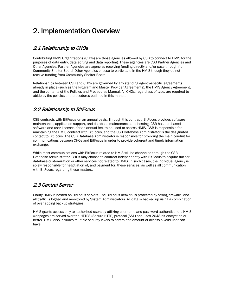# <span id="page-6-0"></span>2. Implementation Overview

# <span id="page-6-1"></span>2.1 Relationship to CHOs

Contributing HMIS Organizations (CHOs) are those agencies allowed by CSB to connect to HMIS for the purposes of data entry, data editing and data reporting. These agencies are CSB Partner Agencies and Other Agencies. Partner Agencies are agencies receiving funding directly and/or pass-through from Community Shelter Board. Other Agencies choose to participate in the HMIS though they do not receive funding from Community Shelter Board.

Relationships between CSB and CHOs are governed by any standing agency-specific agreements already in place (such as the Program and Master Provider Agreements), the HMIS Agency Agreement, and the contents of the Policies and Procedures Manual. All CHOs, regardless of type, are required to abide by the policies and procedures outlined in this manual.

# <span id="page-6-2"></span>2.2 Relationship to BitFocus

CSB contracts with BitFocus on an annual basis. Through this contract, BitFocus provides software maintenance, application support, and database maintenance and hosting. CSB has purchased software and user licenses, for an annual fee, to be used to access HMIS. CSB is responsible for maintaining the HMIS contract with BitFocus, and the CSB Database Administrator is the designated contact to BitFocus. The CSB Database Administrator is responsible for providing the main conduit for communications between CHOs and BitFocus in order to provide coherent and timely information exchange.

While most communications with BitFocus related to HMIS will be channeled through the CSB Database Administrator, CHOs may choose to contract independently with BitFocus to acquire further database customization or other services not related to HMIS. In such cases, the individual agency is solely responsible for negotiation of, and payment for, these services, as well as all communication with BitFocus regarding these matters.

# <span id="page-6-3"></span>2.3 Central Server

Clarity HMIS is hosted on BitFocus servers. The BitFocus network is protected by strong firewalls, and all traffic is logged and monitored by System Administrators. All data is backed up using a combination of overlapping backup strategies.

HMIS grants access only to authorized users by utilizing username and password authentication. HMIS webpages are served over the HTTPS (Secure HTTP) protocol (SSL) and uses 2048-bit encryption or better. HMIS also includes multiple security levels to control the amount of access a valid user can have.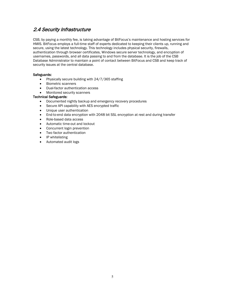#### <span id="page-7-0"></span>2.4 Security Infrastructure

CSB, by paying a monthly fee, is taking advantage of BitFocus's maintenance and hosting services for HMIS. BitFocus employs a full-time staff of experts dedicated to keeping their clients up, running and secure, using the latest technology. This technology includes physical security, firewalls, authentication through browser certificates, Windows secure server technology, and encryption of usernames, passwords, and all data passing to and from the database. It is the job of the CSB Database Administrator to maintain a point of contact between BitFocus and CSB and keep track of security issues at the central database.

#### Safeguards:

- Physically secure building with 24/7/365 staffing
- Biometric scanners
- Dual-factor authentication access
- Monitored security scanners

#### Technical Safeguards:

- Documented nightly backup and emergency recovery procedures
- Secure API capability with AES encrypted traffic
- Unique user authentication
- End-to-end data encryption with 2048 bit SSL encryption at rest and during transfer
- Role-based data access
- Automatic time-out and lockout
- Concurrent login prevention
- Two factor authentication
- IP whitelisting
- Automated audit logs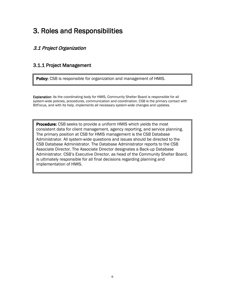# <span id="page-8-0"></span>3. Roles and Responsibilities

# <span id="page-8-1"></span>3.1 Project Organization

#### <span id="page-8-2"></span>3.1.1 Project Management

Policy: CSB is responsible for organization and management of HMIS.

Explanation: As the coordinating body for HMIS, Community Shelter Board is responsible for all system-wide policies, procedures, communication and coordination. CSB is the primary contact with BitFocus, and with its help, implements all necessary system-wide changes and updates.

**Procedure:** CSB seeks to provide a uniform HMIS which yields the most consistent data for client management, agency reporting, and service planning. The primary position at CSB for HMIS management is the CSB Database Administrator. All system-wide questions and issues should be directed to the CSB Database Administrator. The Database Administrator reports to the CSB Associate Director. The Associate Director designates a Back-up Database Administrator. CSB's Executive Director, as head of the Community Shelter Board, is ultimately responsible for all final decisions regarding planning and implementation of HMIS.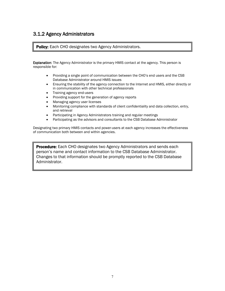#### <span id="page-9-0"></span>3.1.2 Agency Administrators

**Policy:** Each CHO designates two Agency Administrators.

Explanation: The Agency Administrator is the primary HMIS contact at the agency. This person is responsible for:

- Providing a single point of communication between the CHO's end users and the CSB Database Administrator around HMIS issues
- Ensuring the stability of the agency connection to the Internet and HMIS, either directly or in communication with other technical professionals
- Training agency end-users
- Providing support for the generation of agency reports
- Managing agency user licenses
- Monitoring compliance with standards of client confidentiality and data collection, entry, and retrieval
- Participating in Agency Administrators training and regular meetings
- Participating as the advisors and consultants to the CSB Database Administrator

Designating two primary HMIS contacts and power-users at each agency increases the effectiveness of communication both between and within agencies.

**Procedure:** Each CHO designates two Agency Administrators and sends each person's name and contact information to the CSB Database Administrator. Changes to that information should be promptly reported to the CSB Database Administrator.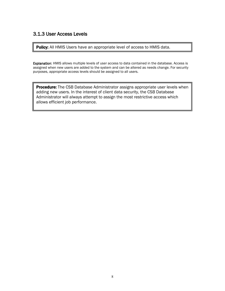#### <span id="page-10-0"></span>3.1.3 User Access Levels

Policy: All HMIS Users have an appropriate level of access to HMIS data.

Explanation: HMIS allows multiple levels of user access to data contained in the database. Access is assigned when new users are added to the system and can be altered as needs change. For security purposes, appropriate access levels should be assigned to all users.

**Procedure:** The CSB Database Administrator assigns appropriate user levels when adding new users. In the interest of client data security, the CSB Database Administrator will always attempt to assign the most restrictive access which allows efficient job performance.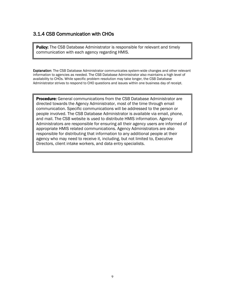#### <span id="page-11-0"></span>3.1.4 CSB Communication with CHOs

**Policy:** The CSB Database Administrator is responsible for relevant and timely communication with each agency regarding HMIS.

Explanation: The CSB Database Administrator communicates system-wide changes and other relevant information to agencies as needed. The CSB Database Administrator also maintains a high level of availability to CHOs. While specific problem resolution may take longer, the CSB Database Administrator strives to respond to CHO questions and issues within one business day of receipt.

**Procedure:** General communications from the CSB Database Administrator are directed towards the Agency Administrator, most of the time through email communication. Specific communications will be addressed to the person or people involved. The CSB Database Administrator is available via email, phone, and mail. The CSB website is used to distribute HMIS information. Agency Administrators are responsible for ensuring all their agency users are informed of appropriate HMIS related communications. Agency Administrators are also responsible for distributing that information to any additional people at their agency who may need to receive it, including, but not limited to, Executive Directors, client intake workers, and data entry specialists.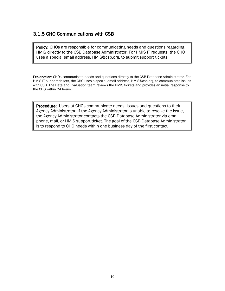### <span id="page-12-0"></span>3.1.5 CHO Communications with CSB

**Policy:** CHOs are responsible for communicating needs and questions regarding HMIS directly to the CSB Database Administrator. For HMIS IT requests, the CHO uses a special email address, HMIS@csb.org, to submit support tickets.

Explanation: CHOs communicate needs and questions directly to the CSB Database Administrator. For HMIS IT support tickets, the CHO uses a special email address, HMIS@csb.org, to communicate issues with CSB. The Data and Evaluation team reviews the HMIS tickets and provides an initial response to the CHO within 24 hours.

**Procedure:** Users at CHOs communicate needs, issues and questions to their Agency Administrator. If the Agency Administrator is unable to resolve the issue, the Agency Administrator contacts the CSB Database Administrator via email, phone, mail, or HMIS support ticket. The goal of the CSB Database Administrator is to respond to CHO needs within one business day of the first contact.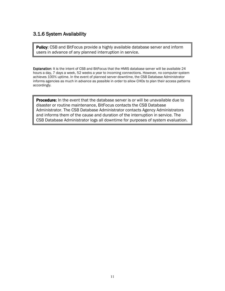#### <span id="page-13-0"></span>3.1.6 System Availability

Policy: CSB and BitFocus provide a highly available database server and inform users in advance of any planned interruption in service.

Explanation: It is the intent of CSB and BitFocus that the HMIS database server will be available 24 hours a day, 7 days a week, 52 weeks a year to incoming connections. However, no computer system achieves 100% uptime. In the event of planned server downtime, the CSB Database Administrator informs agencies as much in advance as possible in order to allow CHOs to plan their access patterns accordingly.

**Procedure:** In the event that the database server is or will be unavailable due to disaster or routine maintenance, BitFocus contacts the CSB Database Administrator. The CSB Database Administrator contacts Agency Administrators and informs them of the cause and duration of the interruption in service. The CSB Database Administrator logs all downtime for purposes of system evaluation.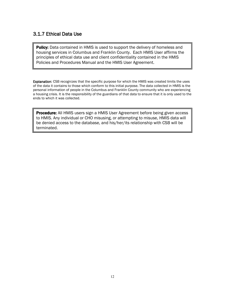#### <span id="page-14-0"></span>3.1.7 Ethical Data Use

**Policy:** Data contained in HMIS is used to support the delivery of homeless and housing services in Columbus and Franklin County. Each HMIS User affirms the principles of ethical data use and client confidentiality contained in the HMIS Policies and Procedures Manual and the HMIS User Agreement.

Explanation: CSB recognizes that the specific purpose for which the HMIS was created limits the uses of the data it contains to those which conform to this initial purpose. The data collected in HMIS is the personal information of people in the Columbus and Franklin County community who are experiencing a housing crisis. It is the responsibility of the guardians of that data to ensure that it is only used to the ends to which it was collected.

**Procedure:** All HMIS users sign a HMIS User Agreement before being given access to HMIS. Any individual or CHO misusing, or attempting to misuse, HMIS data will be denied access to the database, and his/her/its relationship with CSB will be terminated.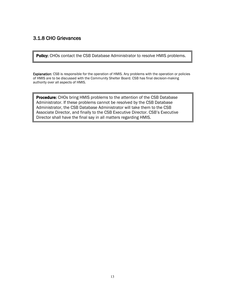## <span id="page-15-0"></span>3.1.8 CHO Grievances

Policy: CHOs contact the CSB Database Administrator to resolve HMIS problems.

Explanation: CSB is responsible for the operation of HMIS. Any problems with the operation or policies of HMIS are to be discussed with the Community Shelter Board. CSB has final decision-making authority over all aspects of HMIS.

**Procedure:** CHOs bring HMIS problems to the attention of the CSB Database Administrator. If these problems cannot be resolved by the CSB Database Administrator, the CSB Database Administrator will take them to the CSB Associate Director, and finally to the CSB Executive Director. CSB's Executive Director shall have the final say in all matters regarding HMIS.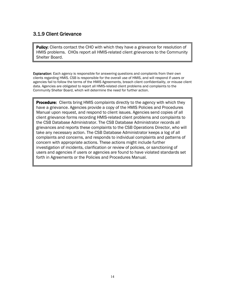#### <span id="page-16-0"></span>3.1.9 Client Grievance

**Policy:** Clients contact the CHO with which they have a grievance for resolution of HMIS problems. CHOs report all HMIS-related client grievances to the Community Shelter Board.

**Explanation:** Each agency is responsible for answering questions and complaints from their own clients regarding HMIS. CSB is responsible for the overall use of HMIS, and will respond if users or agencies fail to follow the terms of the HMIS Agreements, breach client confidentiality, or misuse client data. Agencies are obligated to report all HMIS-related client problems and complaints to the Community Shelter Board, which will determine the need for further action.

Procedure:Clients bring HMIS complaints directly to the agency with which they have a grievance. Agencies provide a copy of the HMIS Policies and Procedures Manual upon request, and respond to client issues. Agencies send copies of all client grievance forms recording HMIS-related client problems and complaints to the CSB Database Administrator. The CSB Database Administrator records all grievances and reports these complaints to the CSB Operations Director, who will take any necessary action. The CSB Database Administrator keeps a log of all complaints and concerns, and responds to individual complaints and patterns of concern with appropriate actions. These actions might include further investigation of incidents, clarification or review of policies, or sanctioning of users and agencies if users or agencies are found to have violated standards set forth in Agreements or the Policies and Procedures Manual.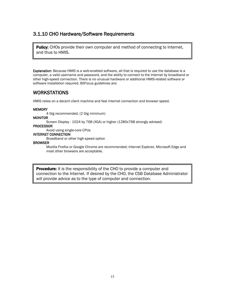#### <span id="page-17-0"></span>3.1.10 CHO Hardware/Software Requirements

**Policy:** CHOs provide their own computer and method of connecting to Internet, and thus to HMIS.

Explanation: Because HMIS is a web-enabled software, all that is required to use the database is a computer, a valid username and password, and the ability to connect to the Internet by broadband or other high-speed connection. There is no unusual hardware or additional HMIS-related software or software installation required. BitFocus guidelines are:

#### WORKSTATIONS

HMIS relies on a decent client machine and fast internet connection and browser speed.

#### **MEMORY**

4 Gig recommended, (2 Gig minimum)

#### **MONITOR**

Screen Display - 1024 by 768 (XGA) or higher (1280x768 strongly advised)

#### PROCESSOR

Avoid using single-core CPUs

#### INTERNET CONNECTION

Broadband or other high-speed option

#### BROWSER

Mozilla Firefox or Google Chrome are recommended; Internet Explorer, Microsoft Edge and most other browsers are acceptable.

**Procedure:** It is the responsibility of the CHO to provide a computer and connection to the Internet. If desired by the CHO, the CSB Database Administrator will provide advice as to the type of computer and connection.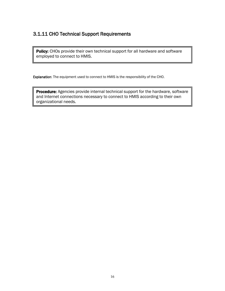#### <span id="page-18-0"></span>3.1.11 CHO Technical Support Requirements

Policy: CHOs provide their own technical support for all hardware and software employed to connect to HMIS.

Explanation: The equipment used to connect to HMIS is the responsibility of the CHO.

Procedure: Agencies provide internal technical support for the hardware, software and Internet connections necessary to connect to HMIS according to their own organizational needs.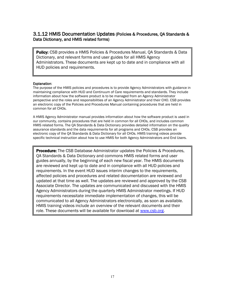#### <span id="page-19-0"></span>3.1.12 HMIS Documentation Updates (Policies & Procedures, QA Standards & Data Dictionary, and HMIS related forms)

**Policy:** CSB provides a HMIS Policies & Procedures Manual, QA Standards & Data Dictionary, and relevant forms and user guides for all HMIS Agency Administrators. These documents are kept up to date and in compliance with all HUD policies and requirements.

# Explanation:

The purpose of the HMIS policies and procedures is to provide Agency Administrators with guidance in maintaining compliance with HUD and Continuum of Care requirements and standards. They include information about how the software product is to be managed from an Agency Administrator perspective and the roles and responsibilities of an Agency Administrator and their CHO. CSB provides an electronic copy of the Policies and Procedures Manual containing procedures that are held in common for all CHOs.

A HMIS Agency Administrator manual provides information about how the software product is used in our community, contains procedures that are held in common for all CHOs, and includes common HMIS related forms. The QA Standards & Data Dictionary provides detailed information on the quality assurance standards and the data requirements for all programs and CHOs. CSB provides an electronic copy of the QA Standards & Data Dictionary for all CHOs. HMIS training videos provide specific technical instruction about how to use HMIS for both Agency Administrators and End Users.

**Procedure:** The CSB Database Administrator updates the Policies & Procedures, QA Standards & Data Dictionary and commons HMIS related forms and user guides annually, by the beginning of each new fiscal year. The HMIS documents are reviewed and kept up to date and in compliance with all HUD policies and requirements. In the event HUD issues interim changes to the requirements, affected policies and procedures and related documentation are reviewed and updated at that time as well. The updates are reviewed and approved by the CSB Associate Director. The updates are communicated and discussed with the HMIS Agency Administrators during the quarterly HMIS Administrator meetings. If HUD requirements necessitate immediate implementation of changes, this will be communicated to all Agency Administrators electronically, as soon as available. HMIS training videos include an overview of the relevant documents and their role. These documents will be available for download at [www.csb.org.](http://www.csb.org/)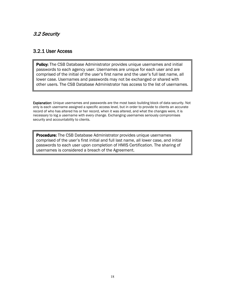#### <span id="page-20-0"></span>3.2 Security

#### <span id="page-20-1"></span>3.2.1 User Access

Policy: The CSB Database Administrator provides unique usernames and initial passwords to each agency user. Usernames are unique for each user and are comprised of the initial of the user's first name and the user's full last name, all lower case. Usernames and passwords may not be exchanged or shared with other users. The CSB Database Administrator has access to the list of usernames.

Explanation: Unique usernames and passwords are the most basic building block of data security. Not only is each username assigned a specific access level, but in order to provide to clients an accurate record of who has altered his or her record, when it was altered, and what the changes were, it is necessary to log a username with every change. Exchanging usernames seriously compromises security and accountability to clients.

**Procedure:** The CSB Database Administrator provides unique usernames comprised of the user's first initial and full last name, all lower case, and initial passwords to each user upon completion of HMIS Certification. The sharing of usernames is considered a breach of the Agreement.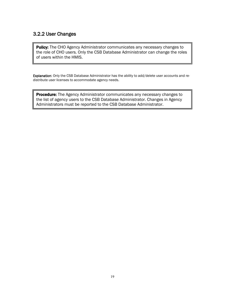#### <span id="page-21-0"></span>3.2.2 User Changes

Policy: The CHO Agency Administrator communicates any necessary changes to the role of CHO users. Only the CSB Database Administrator can change the roles of users within the HMIS.

Explanation: Only the CSB Database Administrator has the ability to add/delete user accounts and redistribute user licenses to accommodate agency needs.

**Procedure:** The Agency Administrator communicates any necessary changes to the list of agency users to the CSB Database Administrator. Changes in Agency Administrators must be reported to the CSB Database Administrator.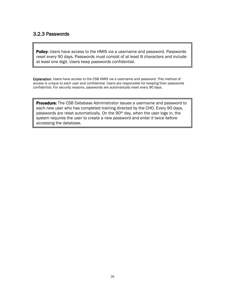#### <span id="page-22-0"></span>3.2.3 Passwords

Policy: Users have access to the HMIS via a username and password. Passwords reset every 90 days. Passwords must consist of at least 8 characters and include at least one digit. Users keep passwords confidential.

Explanation: Users have access to the CSB HMIS via a username and password. This method of access is unique to each user and confidential. Users are responsible for keeping their passwords confidential. For security reasons, passwords are automatically reset every 90 days.

**Procedure:** The CSB Database Administrator issues a username and password to each new user who has completed training directed by the CHO. Every 90 days, passwords are reset automatically. On the 90th day, when the user logs in, the system requires the user to create a new password and enter it twice before accessing the database.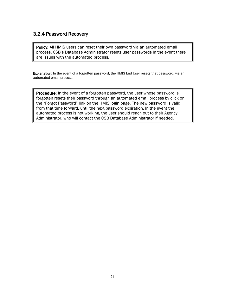#### <span id="page-23-0"></span>3.2.4 Password Recovery

**Policy:** All HMIS users can reset their own password via an automated email process. CSB's Database Administrator resets user passwords in the event there are issues with the automated process.

Explanation: In the event of a forgotten password, the HMIS End User resets that password, via an automated email process.

**Procedure:** In the event of a forgotten password, the user whose password is forgotten resets their password through an automated email process by click on the "Forgot Password" link on the HMIS login page. The new password is valid from that time forward, until the next password expiration. In the event the automated process is not working, the user should reach out to their Agency Administrator, who will contact the CSB Database Administrator if needed.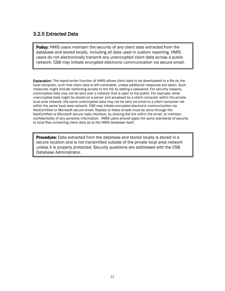#### <span id="page-24-0"></span>3.2.5 Extracted Data

**Policy:** HMIS users maintain the security of any client data extracted from the database and stored locally, including all data used in custom reporting. HMIS users do not electronically transmit any unencrypted client data across a public network. CSB may initiate encrypted electronic communication via secure email.

Explanation: The report-writer function of HMIS allows client data to be downloaded to a file on the local computer, such that client data is left vulnerable, unless additional measures are taken. Such measures might include restricting access to the file by adding a password. For security reasons, unencrypted data may not be sent over a network that is open to the public. For example, while unencrypted data might be stored on a server and accessed by a client computer within the private local area network, the same unencrypted data may not be sent via email to a client computer not within the same local area network. CSB may initiate encrypted electronic communication via NeoCeritified or Microsoft secure email. Replies to these emails must be done through the NeoCertified or Microsoft secure reply interface, by clicking the link within the email, to maintain confidentiality of any sensitive information. HMIS users should apply the same standards of security to local files containing client data as to the HMIS database itself.

**Procedure:** Data extracted from the database and stored locally is stored in a secure location and is not transmitted outside of the private local area network unless it is properly protected. Security questions are addressed with the CSB Database Administrator.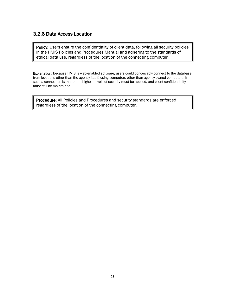#### <span id="page-25-0"></span>3.2.6 Data Access Location

Policy: Users ensure the confidentiality of client data, following all security policies in the HMIS Policies and Procedures Manual and adhering to the standards of ethical data use, regardless of the location of the connecting computer.

Explanation: Because HMIS is web-enabled software, users could conceivably connect to the database from locations other than the agency itself, using computers other than agency-owned computers. If such a connection is made, the highest levels of security must be applied, and client confidentiality must still be maintained.

**Procedure:** All Policies and Procedures and security standards are enforced regardless of the location of the connecting computer.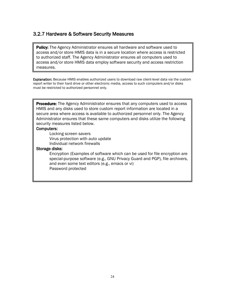#### <span id="page-26-0"></span>3.2.7 Hardware & Software Security Measures

**Policy:** The Agency Administrator ensures all hardware and software used to access and/or store HMIS data is in a secure location where access is restricted to authorized staff. The Agency Administrator ensures all computers used to access and/or store HMIS data employ software security and access restriction measures.

Explanation: Because HMIS enables authorized users to download raw client-level data via the custom report writer to their hard drive or other electronic media, access to such computers and/or disks must be restricted to authorized personnel only.

**Procedure:** The Agency Administrator ensures that any computers used to access HMIS and any disks used to store custom report information are located in a secure area where access is available to authorized personnel only. The Agency Administrator ensures that these same computers and disks utilize the following security measures listed below.

#### Computers:

Locking screen savers Virus protection with auto update Individual network firewalls

#### Storage disks:

<span id="page-26-1"></span>Encryption (Examples of software which can be used for file encryption are special-purpose software (e.g., GNU Privacy Guard and PGP), file archivers, and even some text editors (e.g., emacs or vi) Password protected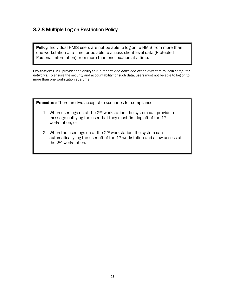#### 3.2.8 Multiple Log-on Restriction Policy

**Policy:** Individual HMIS users are not be able to log on to HMIS from more than one workstation at a time, or be able to access client level data (Protected Personal Information) from more than one location at a time.

Explanation: HMIS provides the ability to run reports *and download client-level data to local computer networks*. To ensure the security and accountability for such data, users must not be able to log on to more than one workstation at a time.

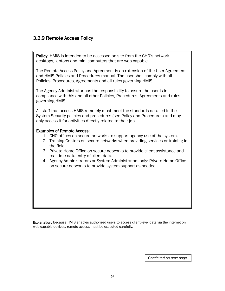#### <span id="page-28-0"></span>3.2.9 Remote Access Policy

**Policy:** HMIS is intended to be accessed on-site from the CHO's network, desktops, laptops and mini-computers that are web capable.

The Remote Access Policy and Agreement is an extension of the User Agreement and HMIS Policies and Procedures manual. The user shall comply with all Policies, Procedures, Agreements and all rules governing HMIS.

The Agency Administrator has the responsibility to assure the user is in compliance with this and all other Policies, Procedures, Agreements and rules governing HMIS.

All staff that access HMIS remotely must meet the standards detailed in the System Security policies and procedures (see Policy and Procedures) and may only access it for activities directly related to their job.

#### Examples of Remote Access:

- 1. CHO offices on secure networks to support agency use of the system.
- 2. Training Centers on secure networks when providing services or training in the field.
- 3. Private Home Office on secure networks to provide client assistance and real-time data entry of client data.
- 4. Agency Administrators or System Administrators only: Private Home Office on secure networks to provide system support as needed.

<span id="page-28-1"></span>Explanation: Because HMIS enables authorized users to access client-level data via the internet on web-capable devices, remote access must be executed carefully.

*Continued on next page.*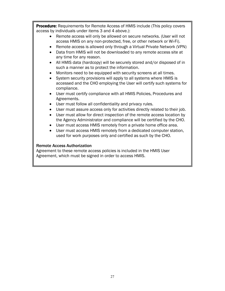**Procedure:** Requirements for Remote Access of HMIS include (This policy covers access by individuals under items 3 and 4 above.):

- Remote access will only be allowed on secure networks. (User will not access HMIS on any non-protected, free, or other network or Wi-Fi).
- Remote access is allowed only through a Virtual Private Network (VPN)
- Data from HMIS will not be downloaded to any remote access site at any time for any reason.
- All HMIS data (hardcopy) will be securely stored and/or disposed of in such a manner as to protect the information.
- Monitors need to be equipped with security screens at all times.
- System security provisions will apply to all systems where HMIS is accessed and the CHO employing the User will certify such systems for compliance.
- User must certify compliance with all HMIS Policies, Procedures and Agreements.
- User must follow all confidentiality and privacy rules.
- User must assure access only for activities directly related to their job.
- User must allow for direct inspection of the remote access location by the Agency Administrator and compliance will be certified by the CHO.
- User must access HMIS remotely from a private home office area.
- User must access HMIS remotely from a dedicated computer station, used for work purposes only and certified as such by the CHO.

#### Remote Access Authorization

Agreement to these remote access policies is included in the HMIS User Agreement, which must be signed in order to access HMIS.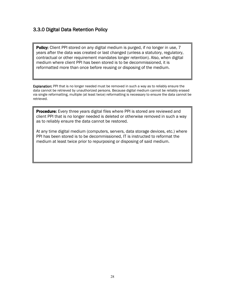#### 3.3.0 Digital Data Retention Policy

Policy: Client PPI stored on any digital medium is purged, if no longer in use, 7 years after the data was created or last changed (unless a statutory, regulatory, contractual or other requirement mandates longer retention). Also, when digital medium where client PPI has been stored is to be decommissioned, it is reformatted more than once before reusing or disposing of the medium.

Explanation: PPI that is no longer needed must be removed in such a way as to reliably ensure the data cannot be retrieved by unauthorized persons. Because digital medium cannot be reliably erased via single reformatting, multiple (at least twice) reformatting is necessary to ensure the data cannot be retrieved.

**Procedure:** Every three years digital files where PPI is stored are reviewed and client PPI that is no longer needed is deleted or otherwise removed in such a way as to reliably ensure the data cannot be restored.

At any time digital medium (computers, servers, data storage devices, etc.) where PPI has been stored is to be decommissioned, IT is instructed to reformat the medium at least twice prior to repurposing or disposing of said medium.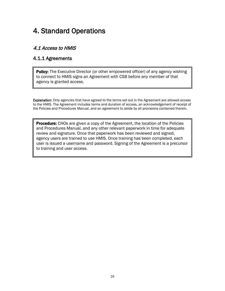# <span id="page-31-0"></span>4. Standard Operations

# <span id="page-31-1"></span>4.1 Access to HMIS

#### <span id="page-31-2"></span>4.1.1 Agreements

**Policy:** The Executive Director (or other empowered officer) of any agency wishing to connect to HMIS signs an Agreement with CSB before any member of that agency is granted access.

Explanation: Only agencies that have agreed to the terms set out in the Agreement are allowed access to the HMIS. The Agreement includes terms and duration of access, an acknowledgement of receipt of the Policies and Procedures Manual, and an agreement to abide by all provisions contained therein.

**Procedure:** CHOs are given a copy of the Agreement, the location of the Policies and Procedures Manual, and any other relevant paperwork in time for adequate review and signature. Once that paperwork has been reviewed and signed, agency users are trained to use HMIS. Once training has been completed, each user is issued a username and password. Signing of the Agreement is a precursor to training and user access.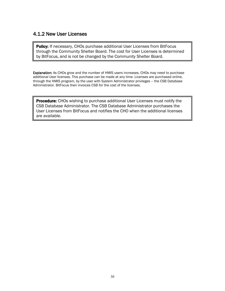#### <span id="page-32-0"></span>4.1.2 New User Licenses

Policy: If necessary, CHOs purchase additional User Licenses from BitFocus through the Community Shelter Board. The cost for User Licenses is determined by BitFocus, and is not be changed by the Community Shelter Board.

Explanation: As CHOs grow and the number of HMIS users increases, CHOs may need to purchase additional User licenses. This purchase can be made at any time. Licenses are purchased online, through the HMIS program, by the user with System Administrator privileges – the CSB Database Administrator. BitFocus then invoices CSB for the cost of the licenses.

Procedure: CHOs wishing to purchase additional User Licenses must notify the CSB Database Administrator. The CSB Database Administrator purchases the User Licenses from BitFocus and notifies the CHO when the additional licenses are available.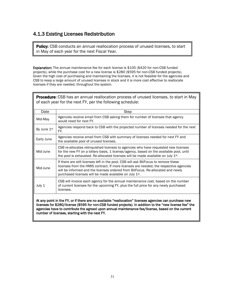#### <span id="page-33-0"></span>4.1.3 Existing Licenses Redistribution

Policy: CSB conducts an annual reallocation process of unused licenses, to start in May of each year for the next Fiscal Year.

Explanation: The annual maintenance fee for each license is \$105 (\$420 for non-CSB funded projects), while the purchase cost for a new license is \$280 (\$595 for non-CSB funded projects). Given the high cost of purchasing and maintaining the licenses, it is not feasible for the agencies and CSB to keep a large amount of unused licenses in stock and it is more cost effective to reallocate licenses if they are needed, throughout the system.

| <b>Procedure:</b> CSB has an annual reallocation process of unused licenses, to start in May<br>of each year for the next FY, per the following schedule: |                                                                                                                                                                                                                                                                                                                                        |  |  |
|-----------------------------------------------------------------------------------------------------------------------------------------------------------|----------------------------------------------------------------------------------------------------------------------------------------------------------------------------------------------------------------------------------------------------------------------------------------------------------------------------------------|--|--|
| Date                                                                                                                                                      | <b>Step</b>                                                                                                                                                                                                                                                                                                                            |  |  |
| Mid-May                                                                                                                                                   | Agencies receive email from CSB asking them for number of licenses that agency<br>would need for next FY.                                                                                                                                                                                                                              |  |  |
| By June 1st                                                                                                                                               | Agencies respond back to CSB with the projected number of licenses needed for the next<br>FY.                                                                                                                                                                                                                                          |  |  |
| Early June                                                                                                                                                | Agencies receive email from CSB with summary of licenses needed for next FY and<br>the available pool of unused licenses.                                                                                                                                                                                                              |  |  |
| Mid-June                                                                                                                                                  | CSB re-allocates relinquished licenses to agencies who have requested new licenses<br>for the new FY on a lottery basis, 1 license/agency, based on the available pool, until<br>the pool is exhausted. Re-allocated licenses will be made available on July 1st.                                                                      |  |  |
| Mid-June                                                                                                                                                  | If there are still licenses left in the pool, CSB will ask BitFocus to remove these<br>licenses from the HMIS contract. If more licenses are needed, the respective agencies<br>will be informed and the licenses ordered from BitFocus. Re-allocated and newly<br>purchased licenses will be made available on July 1 <sup>st</sup> . |  |  |
| July 1                                                                                                                                                    | CSB will invoice each agency for the annual maintenance cost, based on the number<br>of current licenses for the upcoming FY, plus the full price for any newly purchased<br>licenses.                                                                                                                                                 |  |  |
| At any point in the FY, or if there are no available "reallocation" licenses agencies can purchase new                                                    |                                                                                                                                                                                                                                                                                                                                        |  |  |

At any point in the FY, or if there are no available "reallocation" licenses agencies can purchase new licenses for \$280/license (\$595 for non-CSB funded projects). In addition to the "new license fee" the agencies have to contribute the agreed upon annual maintenance fee/license, based on the current number of licenses, starting with the next FY.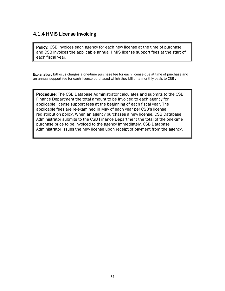#### <span id="page-34-0"></span>4.1.4 HMIS License Invoicing

**Policy:** CSB invoices each agency for each new license at the time of purchase and CSB invoices the applicable annual HMIS license support fees at the start of each fiscal year.

Explanation: BitFocus charges a one-time purchase fee for each license due at time of purchase and an annual support fee for each license purchased which they bill on a monthly basis to CSB .

**Procedure:** The CSB Database Administrator calculates and submits to the CSB Finance Department the total amount to be invoiced to each agency for applicable license support fees at the beginning of each fiscal year. The applicable fees are re-examined in May of each year per CSB's license redistribution policy. When an agency purchases a new license, CSB Database Administrator submits to the CSB Finance Department the total of the one-time purchase price to be invoiced to the agency immediately. CSB Database Administrator issues the new license upon receipt of payment from the agency.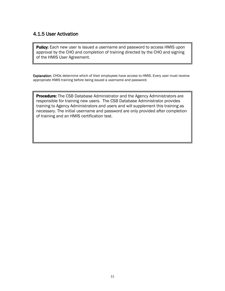#### <span id="page-35-0"></span>4.1.5 User Activation

**Policy:** Each new user is issued a username and password to access HMIS upon approval by the CHO and completion of training directed by the CHO and signing of the HMIS User Agreement.

Explanation: CHOs determine which of their employees have access to HMIS. Every user must receive appropriate HMIS training before being issued a username and password.

**Procedure:** The CSB Database Administrator and the Agency Administrators are responsible for training new users. The CSB Database Administrator provides training to Agency Administrators and users and will supplement this training as necessary. The initial username and password are only provided after completion of training and an HMIS certification test.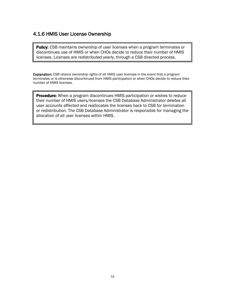#### <span id="page-36-0"></span>4.1.6 HMIS User License Ownership

**Policy:** CSB maintains ownership of user licenses when a program terminates or discontinues use of HMIS or when CHOs decide to reduce their number of HMIS licenses. Licenses are redistributed yearly, through a CSB directed process.

Explanation: CSB retains ownership rights of all HMIS user licenses in the event that a program terminates or is otherwise discontinued from HMIS participation or when CHOs decide to reduce their number of HMIS licenses.

**Procedure:** When a program discontinues HMIS participation or wishes to reduce their number of HMIS users/licenses the CSB Database Administrator deletes all user accounts affected and reallocates the licenses back to CSB for termination or redistribution. The CSB Database Administrator is responsible for managing the allocation of all user licenses within HMIS.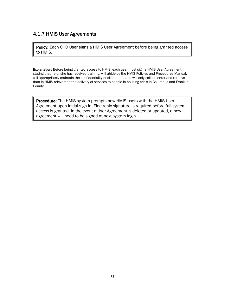#### <span id="page-37-0"></span>4.1.7 HMIS User Agreements

Policy: Each CHO User signs a HMIS User Agreement before being granted access to HMIS.

Explanation: Before being granted access to HMIS, each user must sign a HMIS User Agreement, stating that he or she has received training, will abide by the HMIS Policies and Procedures Manual, will appropriately maintain the confidentiality of client data, and will only collect, enter and retrieve data in HMIS relevant to the delivery of services to people in housing crisis in Columbus and Franklin County.

Procedure: The HMIS system prompts new HMIS users with the HMIS User Agreement upon initial sign in. Electronic signature is required before full system access is granted. In the event a User Agreement is deleted or updated, a new agreement will need to be signed at next system login.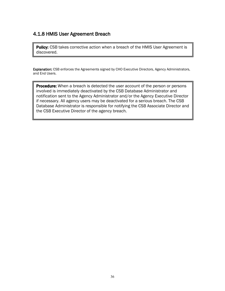#### <span id="page-38-0"></span>4.1.8 HMIS User Agreement Breach

Policy: CSB takes corrective action when a breach of the HMIS User Agreement is discovered.

 Explanation: CSB enforces the Agreements signed by CHO Executive Directors, Agency Administrators, and End Users.

**Procedure:** When a breach is detected the user account of the person or persons involved is immediately deactivated by the CSB Database Administrator and notification sent to the Agency Administrator and/or the Agency Executive Director if necessary. All agency users may be deactivated for a serious breach. The CSB Database Administrator is responsible for notifying the CSB Associate Director and the CSB Executive Director of the agency breach.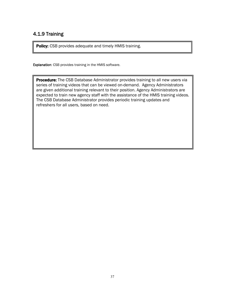# <span id="page-39-0"></span>4.1.9 Training

Policy: CSB provides adequate and timely HMIS training.

Explanation: CSB provides training in the HMIS software.

**Procedure:** The CSB Database Administrator provides training to all new users via series of training videos that can be viewed on-demand. Agency Administrators are given additional training relevant to their position. Agency Administrators are expected to train new agency staff with the assistance of the HMIS training videos. The CSB Database Administrator provides periodic training updates and refreshers for all users, based on need.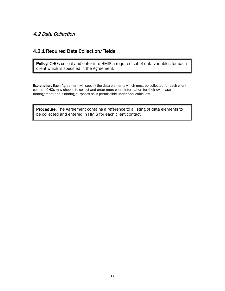#### <span id="page-40-0"></span>4.2 Data Collection

#### <span id="page-40-1"></span>4.2.1 Required Data Collection/Fields

Policy: CHOs collect and enter into HMIS a required set of data variables for each client which is specified in the Agreement.

Explanation: Each Agreement will specify the data elements which must be collected for each client contact. CHOs may choose to collect and enter more client information for their own case management and planning purposes as is permissible under applicable law.

**Procedure:** The Agreement contains a reference to a listing of data elements to be collected and entered in HMIS for each client contact.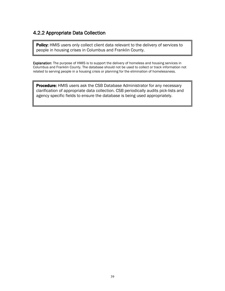# <span id="page-41-0"></span>4.2.2 Appropriate Data Collection

Policy: HMIS users only collect client data relevant to the delivery of services to people in housing crises in Columbus and Franklin County.

Explanation: The purpose of HMIS is to support the delivery of homeless and housing services in Columbus and Franklin County. The database should not be used to collect or track information not related to serving people in a housing crisis or planning for the elimination of homelessness.

Procedure: HMIS users ask the CSB Database Administrator for any necessary clarification of appropriate data collection. CSB periodically audits pick-lists and agency specific fields to ensure the database is being used appropriately.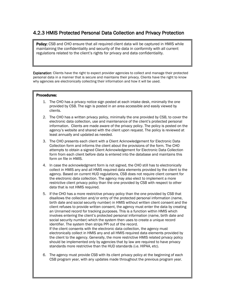#### <span id="page-42-0"></span>4.2.3 HMIS Protected Personal Data Collection and Privacy Protection

**Policy:** CSB and CHO ensure that all required client data will be captured in HMIS while maintaining the confidentiality and security of the data in conformity with all current regulations related to the client's rights for privacy and data confidentiality.

Explanation: Clients have the right to expect provider agencies to collect and manage their protected personal data in a manner that is secure and maintains their privacy. Clients have the right to know why agencies are electronically collecting their information and how it will be used.

#### Procedures:

I ļ

I I I I I I I I I I I I I I I I I I I I I I I

 $\overline{\phantom{a}}$ 

 $\overline{\phantom{a}}$ 

 $\overline{\phantom{a}}$ 

- 1. The CHO has a privacy notice sign posted at each intake desk, minimally the one provided by CSB. The sign is posted in an area accessible and easily viewed by clients.
- 2. The CHO has a written privacy policy, minimally the one provided by CSB, to cover the electronic data collection, use and maintenance of the client's protected personal information. Clients are made aware of the privacy policy. The policy is posted on the agency's website and shared with the client upon request. The policy is reviewed at least annually and updated as needed.
- 3. The CHO presents each client with a Client Acknowledgement for Electronic Data Collection form and informs the client about the provisions of the form. The CHO attempts to obtain a signed Client Acknowledgement for Electronic Data Collection form from each client before data is entered into the database and maintains this form on file in HMIS.
- 4. In case the acknowledgment form is not signed, the CHO still has to electronically collect in HMIS any and all HMIS required data elements provided by the client to the agency. Based on current HUD regulations, CSB does not require client consent for the electronic data collection. The agency may also elect to implement a more restrictive client privacy policy than the one provided by CSB with respect to other data that is not HMIS required.
- client refuses to provide written consent, the agency must enter the data by creating 5. If the CHO has a more restrictive privacy policy than the one provided by CSB that disallows the collection and/or entry of the protected personal information (name, birth date and social security number) in HMIS without written client consent and the an Unnamed record for tracking purposes. This is a function within HMIS which involves entering the client's protected personal information (name, birth date and social security number) which the system then uses to create a unique record identifier. The system then strips PPI out of the record. If the client consents with the electronic data collection, the agency must electronically collect in HMIS any and all HMIS required data elements provided by the client to the agency. Generally, the more restrictive HMIS related privacy policy should be implemented only by agencies that by law are required to have privacy
- 6. The agency must provide CSB with its client privacy policy at the beginning of each CSB program year, with any updates made throughout the previous program year.

standards more restrictive than the HUD standards (i.e. HIPAA, etc).

 $\overline{a}$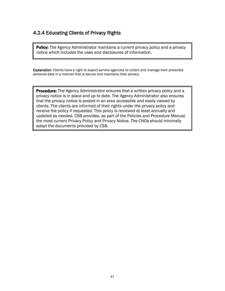# <span id="page-43-0"></span>4.2.4 Educating Clients of Privacy Rights

**Policy:** The Agency Administrator maintains a current privacy policy and a privacy notice which includes the uses and disclosures of information.

Explanation: Clients have a right to expect service agencies to collect and manage their protected personal data in a manner that is secure and maintains their privacy.

Procedure: The Agency Administrator ensures that a written privacy policy and a privacy notice is in place and up to date. The Agency Administrator also ensures that the privacy notice is posted in an area accessible and easily viewed by clients. The clients are informed of their rights under the privacy policy and receive the policy if requested. This policy is reviewed at least annually and updated as needed. CSB provides, as part of the Policies and Procedure Manual, the most current Privacy Policy and Privacy Notice. The CHOs should minimally adopt the documents provided by CSB.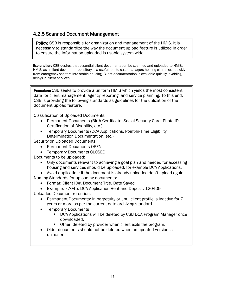### <span id="page-44-0"></span>4.2.5 Scanned Document Management

**Policy:** CSB is responsible for organization and management of the HMIS. It is necessary to standardize the way the document upload feature is utilized in order to ensure the information uploaded is usable system-wide.

Explanation: CSB desires that essential client documentation be scanned and uploaded to HMIS. HMIS, as a client document repository is a useful tool to case managers helping clients exit quickly from emergency shelters into stable housing. Client documentation is available quickly, avoiding delays in client services.

<span id="page-44-1"></span>**Procedure:** CSB seeks to provide a uniform HMIS which yields the most consistent data for client management, agency reporting, and service planning. To this end, CSB is providing the following standards as guidelines for the utilization of the document upload feature.

Classification of Uploaded Documents:

- Permanent Documents (Birth Certificate, Social Security Card, Photo ID, Certification of Disability, etc.)
- Temporary Documents (DCA Applications, Point-In-Time Eligibility Determination Documentation, etc.)

Security on Uploaded Documents:

- Permanent Documents OPEN
- Temporary Documents CLOSED

Documents to be uploaded:

• Only documents relevant to achieving a goal plan and needed for accessing housing and services should be uploaded, for example DCA Applications.

• Avoid duplication; if the document is already uploaded don't upload again.

Naming Standards for uploading documents:

- Format: Client ID#. Document Title. Date Saved
- Example: 77045. DCA Application Rent and Deposit. 120409 Uploaded Document retention:
	- Permanent Documents: In perpetuity or until client profile is inactive for 7 years or more as per the current data archiving standard.
	- Temporary Documents
		- **DCA Applications will be deleted by CSB DCA Program Manager once** downloaded.
		- Other: deleted by provider when client exits the program.
	- Older documents should not be deleted when an updated version is uploaded.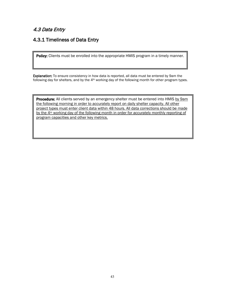# 4.3 Data Entry

# <span id="page-45-0"></span>4.3.1 Timeliness of Data Entry

Policy: Clients must be enrolled into the appropriate HMIS program in a timely manner.

Explanation: To ensure consistency in how data is reported, all data must be entered by 9am the following day for shelters, and by the 4<sup>th</sup> working day of the following month for other program types.

**Procedure:** All clients served by an emergency shelter must be entered into HMIS by 9am the following morning in order to accurately report on daily shelter capacity. All other project types must enter client data within 48 hours. All data corrections should be made by the 4<sup>th</sup> working day of the following month in order for accurately monthly reporting of program capacities and other key metrics.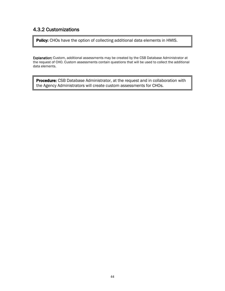# <span id="page-46-0"></span>4.3.2 Customizations

Policy: CHOs have the option of collecting additional data elements in HMIS.

Explanation: Custom, additional assessments may be created by the CSB Database Administrator at the request of CHO. Custom assessments contain questions that will be used to collect the additional data elements.

Procedure: CSB Database Administrator, at the request and in collaboration with the Agency Administrators will create custom assessments for CHOs.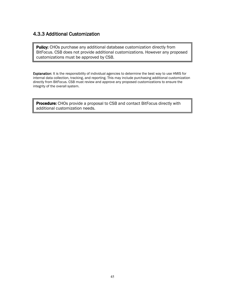#### <span id="page-47-0"></span>4.3.3 Additional Customization

Policy: CHOs purchase any additional database customization directly from BitFocus. CSB does not provide additional customizations. However any proposed customizations must be approved by CSB.

Explanation: It is the responsibility of individual agencies to determine the best way to use HMIS for internal data collection, tracking, and reporting. This may include purchasing additional customization directly from BitFocus. CSB must review and approve any proposed customizations to ensure the integrity of the overall system.

<span id="page-47-1"></span>Procedure: CHOs provide a proposal to CSB and contact BitFocus directly with additional customization needs.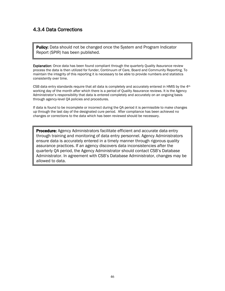#### 4.3.4 Data Corrections

Policy: Data should not be changed once the System and Program Indicator Report (SPIR) has been published.

**Explanation:** Once data has been found compliant through the quarterly Quality Assurance review process the data is then utilized for funder, Continuum of Care, Board and Community Reporting. To maintain the integrity of this reporting it is necessary to be able to provide numbers and statistics consistently over time.

CSB data entry standards require that all data is completely and accurately entered in HMIS by the  $4<sup>th</sup>$ working day of the month after which there is a period of Quality Assurance reviews. It is the Agency Administrator's responsibility that data is entered completely and accurately on an ongoing basis through agency-level QA policies and procedures.

If data is found to be incomplete or incorrect during the QA period it is permissible to make changes up through the last day of the designated cure period. After compliance has been achieved no changes or corrections to the data which has been reviewed should be necessary.

**Procedure:** Agency Administrators facilitate efficient and accurate data entry through training and monitoring of data entry personnel. Agency Administrators ensure data is accurately entered in a timely manner through rigorous quality assurance practices. If an agency discovers data inconsistencies after the quarterly QA period, the Agency Administrator should contact CSB's Database Administrator. In agreement with CSB's Database Administrator, changes may be allowed to data.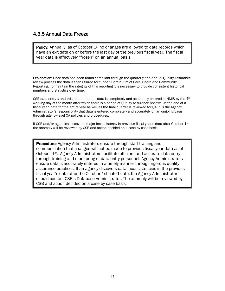#### <span id="page-49-0"></span>4.3.5 Annual Data Freeze

**Policy:** Annually, as of October  $1^{st}$  no changes are allowed to data records which have an exit date on or before the last day of the previous fiscal year. The fiscal year data is effectively "frozen" on an annual basis.

**Explanation:** Once data has been found compliant through the quarterly and annual Quality Assurance review process the data is then utilized for funder, Continuum of Care, Board and Community Reporting. To maintain the integrity of this reporting it is necessary to provide consistent historical numbers and statistics over time.

CSB data entry standards require that all data is completely and accurately entered in HMIS by the  $4<sup>th</sup>$ working day of the month after which there is a period of Quality Assurance reviews. At the end of a fiscal year, data for the entire year as well as the final quarter is reviewed for QA. It is the Agency Administrator's responsibility that data is entered completely and accurately on an ongoing basis through agency-level QA policies and procedures.

If CSB and/or agencies discover a major inconsistency in previous fiscal year's data after October 1<sup>st</sup> the anomaly will be reviewed by CSB and action decided on a case by case basis.

**Procedure:** Agency Administrators ensure through staff training and communication that changes will not be made to previous fiscal year data as of October 1<sup>st</sup>. Agency Administrators facilitate efficient and accurate data entry through training and monitoring of data entry personnel. Agency Administrators ensure data is accurately entered in a timely manner through rigorous quality assurance practices. If an agency discovers data inconsistencies in the previous fiscal year's data after the October 1st cutoff date, the Agency Administrator should contact CSB's Database Administrator. The anomaly will be reviewed by CSB and action decided on a case by case basis.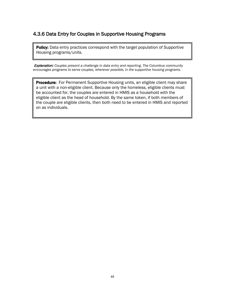#### <span id="page-50-2"></span><span id="page-50-0"></span>4.3.6 Data Entry for Couples in Supportive Housing Programs

**Policy:** Data entry practices correspond with the target population of Supportive Housing programs/units.

<span id="page-50-1"></span> Explanation: *Couples present a challenge in data entry and reporting. The Columbus community encourages programs to serve couples, wherever possible, in the supportive housing programs.*

**Procedure:** For Permanent Supportive Housing units, an eligible client may share a unit with a non-eligible client. Because only the homeless, eligible clients must be accounted for, the couples are entered in HMIS as a household with the eligible client as the head of household. By the same token, if both members of the couple are eligible clients, then both need to be entered in HMIS and reported on as individuals.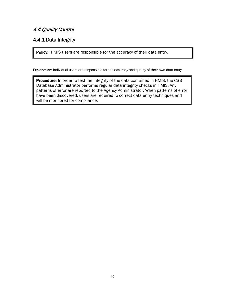# 4.4 Quality Control

# <span id="page-51-0"></span>4.4.1 Data Integrity

Policy: HMIS users are responsible for the accuracy of their data entry.

Explanation: Individual users are responsible for the accuracy and quality of their own data entry.

Procedure: In order to test the integrity of the data contained in HMIS, the CSB Database Administrator performs regular data integrity checks in HMIS. Any patterns of error are reported to the Agency Administrator. When patterns of error have been discovered, users are required to correct data entry techniques and will be monitored for compliance.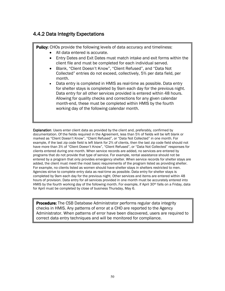#### <span id="page-52-0"></span>4.4.2 Data Integrity Expectations

**Policy:** CHOs provide the following levels of data accuracy and timeliness:

- All data entered is accurate.
- Entry Dates and Exit Dates must match intake and exit forms within the client file and must be completed for each individual served.
- Blank, "Client Doesn't Know", "Client Refused", and "Data Not Collected" entries do not exceed, collectively, 5% per data field, per month.
- Data entry is completed in HMIS as real-time as possible. Data entry for shelter stays is completed by 9am each day for the previous night. Data entry for all other services provided is entered within 48 hours. Allowing for quality checks and corrections for any given calendar month-end, these must be completed within HMIS by the fourth working day of the following calendar month.

Explanation: Users enter client data as provided by the client and, preferably, confirmed by documentation. Of the fields required in the Agreement, less than 5% of fields will be left blank or marked as "Client Doesn't Know", "Client Refused", or "Data Not Collected" in one month. For example, if the last zip code field is left blank for 2% of clients, then the last zip code field should not have more than 3% of "Client Doesn't Know", "Client Refused", or "Data Not Collected" responses for clients entered during one month. When service records are added, no services are entered by programs that do not provide that type of service. For example, rental assistance should not be entered by a program that only provides emergency shelter. When service records for shelter stays are added, the client must meet the most basic requirements of the program listed as providing shelter. For example, no clients listed as women should have shelter stays in shelters restricted to men. Agencies strive to complete entry data as real-time as possible. Data entry for shelter stays is completed by 9am each day for the previous night. Other services and items are entered within 48 hours of provision. Data entry for all services provided in one month must be accurately entered into HMIS by the fourth working day of the following month. For example, if April 30th falls on a Friday, data for April must be completed by close of business Thursday, May 6.

**Procedure:** The CSB Database Administrator performs regular data integrity checks in HMIS. Any patterns of error at a CHO are reported to the Agency Administrator. When patterns of error have been discovered, users are required to correct data entry techniques and will be monitored for compliance.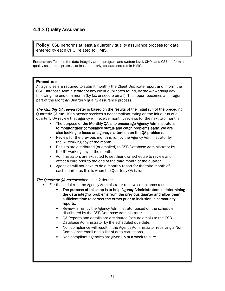# <span id="page-53-0"></span>4.4.3 Quality Assurance

**Policy:** CSB performs at least a quarterly quality assurance process for data entered by each CHO, related to HMIS.

Explanation: To keep the data integrity at the program and system level, CHOs and CSB perform a quality assurance process, at least quarterly, for data entered in HMIS.

#### Procedure:

All agencies are required to submit monthly the Client Duplicate report and inform the CSB Database Administrator of any client duplicates found, by the  $4<sup>th</sup>$  working day following the end of a month (by fax or secure email). This report becomes an integral part of the Monthly/Quarterly quality assurance process.

The Monthly QA review roster is based on the results of the initial run of the preceding Quarterly QA run. If an agency receives a noncompliant rating on the initial run of a quarterly QA review that agency will receive monthly reviews for the next two months.

- The purpose of the Monthly QA is to encourage Agency Administrators to monitor their compliance status and catch problems early. We are also looking to focus an agency's attention on the QA problems.
- Review for the previous month is run by the Agency Administrator by the 5th working day of the month.
- Results are distributed (or emailed) to CSB Database Administrator by the 6th working day of the month.
- Administrators are expected to set their own schedule to review and effect a cure prior to the end of the third month of the quarter.
- Agencies will not have to do a monthly report for the third month of each quarter as this is when the Quarterly QA is run.

#### The Quarterly QA review schedule is 2-tiered:

- For the initial run, the Agency Administrator receive compliance results.
	- The purpose of this step is to help Agency Administrators in determining the data integrity problems from the previous quarter and allow them sufficient time to correct the errors prior to inclusion in community reports.
	- Review is run by the Agency Administrator based on the schedule distributed by the CSB Database Administrator.
	- QA Reports and details are distributed (secure email) to the CSB Database Administrator by the scheduled due date.
	- Non-compliance will result in the Agency Administrator receiving a Non-Compliance email and a list of data corrections.
	- Non-compliant agencies are given up to a week to cure.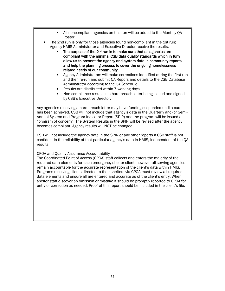- All noncompliant agencies on this run will be added to the Monthly QA Roster.
- The 2nd run is only for those agencies found non-compliant in the 1st run; Agency HMIS Administrator and Executive Director receive the results.
	- The purpose of the 2<sup>nd</sup> run is to make sure that all agencies are compliant with the minimal CSB data quality standards which in turn allow us to present the agency and system data in community reports and help the planning process to cover the ongoing homelessness related needs of our community.
	- Agency Administrators will make corrections identified during the first run and then re-run and submit QA Repors and details to the CSB Database Administrator according to the QA Schedule.
	- Results are distributed within 7 working days.
	- Non-compliance results in a hard-breach letter being issued and signed by CSB's Executive Director.

Any agencies receiving a hard-breach letter may have funding suspended until a cure has been achieved. CSB will not include that agency's data in the Quarterly and/or Semi-Annual System and Program Indicator Report (SPIR) and the program will be issued a "program of concern". The System Results in the SPIR will be revised after the agency becomes compliant. Agency results will NOT be changed.

CSB will not include the agency data in the SPIR or any other reports if CSB staff is not confident in the reliability of that particular agency's data in HMIS, independent of the QA results.

#### CPOA and Quality Assurance Accountability

The Coordinated Point of Access (CPOA) staff collects and enters the majority of the required data elements for each emergency shelter client, however all serving agencies remain accountable for the accurate representation of the client's data within HMIS. Programs receiving clients directed to their shelters via CPOA must review all required data elements and ensure all are entered and accurate as of the client's entry. When shelter staff discover an omission or mistake it should be promptly reported to CPOA for entry or correction as needed. Proof of this report should be included in the client's file.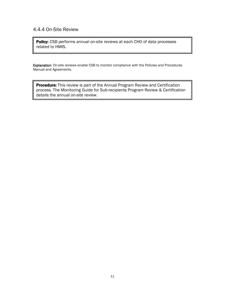#### 4.4.4 On-Site Review

Policy: CSB performs annual on-site reviews at each CHO of data processes related to HMIS.

Explanation: On-site reviews enable CSB to monitor compliance with the Policies and Procedures Manual and Agreements.

Procedure: This review is part of the Annual Program Review and Certification process. The Monitoring Guide for Sub-recipients Program Review & Certification details the annual on-site review.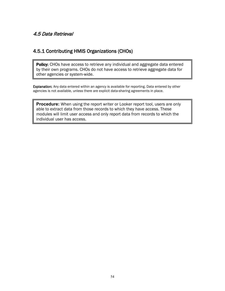### <span id="page-56-0"></span>4.5 Data Retrieval

#### <span id="page-56-1"></span>4.5.1 Contributing HMIS Organizations (CHOs)

Policy: CHOs have access to retrieve any individual and aggregate data entered by their own programs. CHOs do not have access to retrieve aggregate data for other agencies or system-wide.

Explanation: Any data entered within an agency is available for reporting. Data entered by other agencies is not available, unless there are explicit data-sharing agreements in place.

**Procedure:** When using the report writer or Looker report tool, users are only able to extract data from those records to which they have access. These modules will limit user access and only report data from records to which the individual user has access.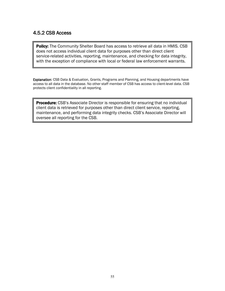### <span id="page-57-0"></span>4.5.2 CSB Access

Policy: The Community Shelter Board has access to retrieve all data in HMIS. CSB does not access individual client data for purposes other than direct client service-related activities, reporting, maintenance, and checking for data integrity, with the exception of compliance with local or federal law enforcement warrants.

Explanation: CSB Data & Evaluation, Grants, Programs and Planning, and Housing departments have access to all data in the database. No other staff member of CSB has access to client-level data. CSB protects client confidentiality in all reporting.

**Procedure:** CSB's Associate Director is responsible for ensuring that no individual client data is retrieved for purposes other than direct client service, reporting, maintenance, and performing data integrity checks. CSB's Associate Director will oversee all reporting for the CSB.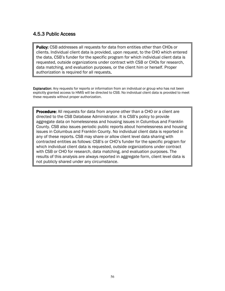#### <span id="page-58-0"></span>4.5.3 Public Access

**Policy:** CSB addresses all requests for data from entities other than CHOs or clients. Individual client data is provided, upon request, to the CHO which entered the data, CSB's funder for the specific program for which individual client data is requested, outside organizations under contract with CSB or CHOs for research, data matching, and evaluation purposes, or the client him or herself. Proper authorization is required for all requests.

**Explanation:** Any requests for reports or information from an individual or group who has not been explicitly granted access to HMIS will be directed to CSB. No individual client data is provided to meet these requests without proper authorization.

**Procedure:** All requests for data from anyone other than a CHO or a client are directed to the CSB Database Administrator. It is CSB's policy to provide aggregate data on homelessness and housing issues in Columbus and Franklin County. CSB also issues periodic public reports about homelessness and housing issues in Columbus and Franklin County. No individual client data is reported in any of these reports. CSB may share or allow client level data sharing with contracted entities as follows: CSB's or CHO's funder for the specific program for which individual client data is requested, outside organizations under contract with CSB or CHO for research, data matching, and evaluation purposes. The results of this analysis are always reported in aggregate form, client level data is not publicly shared under any circumstance.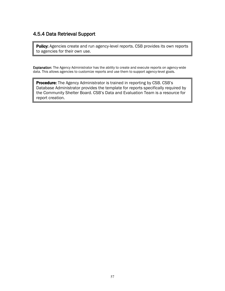# <span id="page-59-0"></span>4.5.4 Data Retrieval Support

Policy: Agencies create and run agency-level reports. CSB provides its own reports to agencies for their own use.

Explanation: The Agency Administrator has the ability to create and execute reports on agency-wide data. This allows agencies to customize reports and use them to support agency-level goals.

**Procedure:** The Agency Administrator is trained in reporting by CSB. CSB's Database Administrator provides the template for reports specifically required by the Community Shelter Board. CSB's Data and Evaluation Team is a resource for report creation.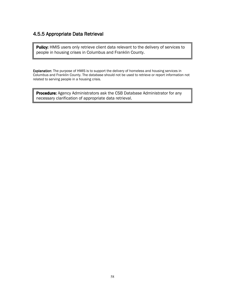#### <span id="page-60-0"></span>4.5.5 Appropriate Data Retrieval

Policy: HMIS users only retrieve client data relevant to the delivery of services to people in housing crises in Columbus and Franklin County.

Explanation: The purpose of HMIS is to support the delivery of homeless and housing services in Columbus and Franklin County. The database should not be used to retrieve or report information not related to serving people in a housing crisis.

<span id="page-60-1"></span>Procedure: Agency Administrators ask the CSB Database Administrator for any necessary clarification of appropriate data retrieval.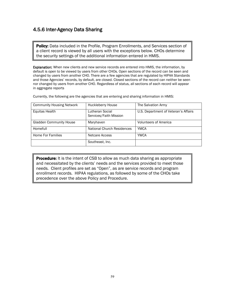# 4.5.6 Inter-Agency Data Sharing

Policy: Data included in the Profile, Program Enrollments, and Services section of a client record is viewed by all users with the exceptions below. CHOs determine the security settings of the additional information entered in HMIS.

**Explanation:** When new clients and new service records are entered into HMIS, the information, by default is open to be viewed by users from other CHOs. Open sections of the record can be seen and changed by users from another CHO. There are a few agencies that are regulated by HIPAA Standards and those Agencies' records, by default, are closed. Closed sections of the record can neither be seen nor changed by users from another CHO. Regardless of status, all sections of each record will appear in aggregate reports

| <b>Community Housing Network</b> | Huckleberry House                         | The Salvation Army                   |
|----------------------------------|-------------------------------------------|--------------------------------------|
| Equitas Health                   | Lutheran Social<br>Services/Faith Mission | U.S. Department of Veteran's Affairs |
| <b>Gladden Community House</b>   | Maryhaven                                 | <b>Volunteers of America</b>         |
| Homefull                         | <b>National Church Residences</b>         | <b>YMCA</b>                          |
| Home For Families                | Netcare Access                            | <b>YWCA</b>                          |
|                                  | Southeast, Inc.                           |                                      |

Currently, the following are the agencies that are entering and sharing information in HMIS:

<span id="page-61-0"></span>**Procedure:** It is the intent of CSB to allow as much data sharing as appropriate and necessitated by the clients' needs and the services provided to meet those needs. Client profiles are set as "Open", as are service records and program enrollment records. HIPAA regulations, as followed by some of the CHOs take precedence over the above Policy and Procedure.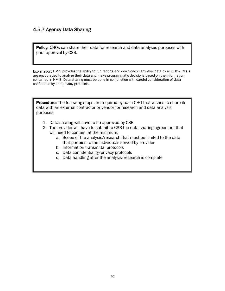# 4.5.7 Agency Data Sharing

Policy: CHOs can share their data for research and data analyses purposes with prior approval by CSB.

Explanation: HMIS provides the ability to run reports and download client-level data by all CHOs. CHOs are encouraged to analyze their data and make programmatic decisions based on the information contained in HMIS. Data sharing must be done in conjunction with careful consideration of data confidentiality and privacy protocols.

<span id="page-62-0"></span>**Procedure:** The following steps are required by each CHO that wishes to share its data with an external contractor or vendor for research and data analysis purposes:

- 1. Data sharing will have to be approved by CSB
- 2. The provider will have to submit to CSB the data sharing agreement that will need to contain, at the minimum:
	- a. Scope of the analysis/research that must be limited to the data that pertains to the individuals served by provider
	- b. Information transmittal protocols
	- c. Data confidentiality/privacy protocols
	- d. Data handling after the analysis/research is complete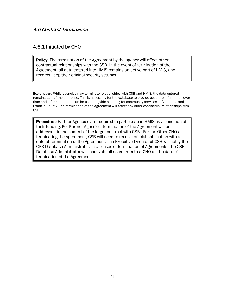#### 4.6 Contract Termination

#### <span id="page-63-0"></span>4.6.1 Initiated by CHO

**Policy:** The termination of the Agreement by the agency will affect other contractual relationships with the CSB. In the event of termination of the Agreement, all data entered into HMIS remains an active part of HMIS, and records keep their original security settings.

**Explanation:** While agencies may terminate relationships with CSB and HMIS, the data entered remains part of the database. This is necessary for the database to provide accurate information over time and information that can be used to guide planning for community services in Columbus and Franklin County. The termination of the Agreement will affect any other contractual relationships with CSB.

**Procedure:** Partner Agencies are required to participate in HMIS as a condition of their funding. For Partner Agencies, termination of the Agreement will be addressed in the context of the larger contract with CSB. For the Other CHOs terminating the Agreement, CSB will need to receive official notification with a date of termination of the Agreement. The Executive Director of CSB will notify the CSB Database Administrator. In all cases of termination of Agreements, the CSB Database Administrator will inactivate all users from that CHO on the date of termination of the Agreement.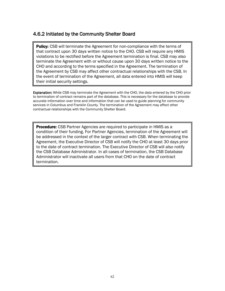#### <span id="page-64-0"></span>4.6.2 Initiated by the Community Shelter Board

**Policy:** CSB will terminate the Agreement for non-compliance with the terms of that contract upon 30 days written notice to the CHO. CSB will require any HMIS violations to be rectified before the Agreement termination is final. CSB may also terminate the Agreement with or without cause upon 30 days written notice to the CHO and according to the terms specified in the Agreement. The termination of the Agreement by CSB may affect other contractual relationships with the CSB. In the event of termination of the Agreement, all data entered into HMIS will keep their initial security settings.

Explanation: While CSB may terminate the Agreement with the CHO, the data entered by the CHO prior to termination of contract remains part of the database. This is necessary for the database to provide accurate information over time and information that can be used to guide planning for community services in Columbus and Franklin County. The termination of the Agreement may affect other contractual relationships with the Community Shelter Board.

**Procedure:** CSB Partner Agencies are required to participate in HMIS as a condition of their funding. For Partner Agencies, termination of the Agreement will be addressed in the context of the larger contract with CSB. When terminating the Agreement, the Executive Director of CSB will notify the CHO at least 30 days prior to the date of contract termination. The Executive Director of CSB will also notify the CSB Database Administrator. In all cases of termination, the CSB Database Administrator will inactivate all users from that CHO on the date of contract termination.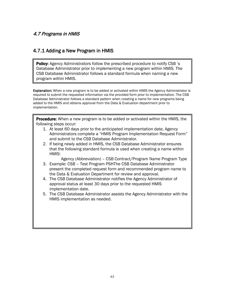### <span id="page-65-0"></span>4.7 Programs in HMIS

#### <span id="page-65-1"></span>4.7.1 Adding a New Program in HMIS

**Policy:** Agency Administrators follow the prescribed procedure to notify CSB 's Database Administrator prior to implementing a new program within HMIS. The CSB Database Administrator follows a standard formula when naming a new program within HMIS.

Explanation: When a new program is to be added or activated within HMIS the Agency Administrator is required to submit the requested information via the provided form prior to implementation. The CSB Database Administrator follows a standard pattern when creating a name for new programs being added to the HMIS and obtains approval from the Data & Evaluation department prior to implementation.

**Procedure:** When a new program is to be added or activated within the HMIS, the following steps occur:

- 1. At least 60 days prior to the anticipated implementation date, Agency Administrators complete a "HMIS Program Implementation Request Form" and submit to the CSB Database Administrator.
- 2. If being newly added in HMIS, the CSB Database Administrator ensures that the following standard formula is used when creating a name within HMIS:

Agency (Abbreviation) – CSB Contract/Program Name Program Type

- 3. Example: CSB Test Program PSHThe CSB Database Administrator present the completed request form and recommended program name to the Data & Evaluation Department for review and approval.
- 4. The CSB Database Administrator notifies the Agency Administrator of approval status at least 30 days prior to the requested HMIS implementation date.
- 5. The CSB Database Administrator assists the Agency Administrator with the HMIS implementation as needed.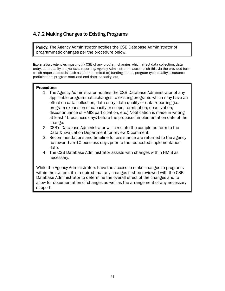# <span id="page-66-0"></span>4.7.2 Making Changes to Existing Programs

**Policy:** The Agency Administrator notifies the CSB Database Administrator of programmatic changes per the procedure below.

Explanation: Agencies must notify CSB of any program changes which affect data collection, data entry, data quality and/or data reporting. Agency Administrators accomplish this via the provided form which requests details such as (but not limited to) funding status, program type, quality assurance participation, program start and end date, capacity, etc.

#### Procedure:

- 1. The Agency Administrator notifies the CSB Database Administrator of any applicable programmatic changes to existing programs which may have an effect on data collection, data entry, data quality or data reporting (i.e. program expansion of capacity or scope; termination; deactivation; discontinuance of HMIS participation, etc.) Notification is made in writing at least 45 business days before the proposed implementation date of the change.
- 2. CSB's Database Administrator will circulate the completed form to the Data & Evaluation Department for review & comment.
- 3. Recommendations and timeline for assistance are returned to the agency no fewer than 10 business days prior to the requested implementation date.
- 4. The CSB Database Administrator assists with changes within HMIS as necessary.

While the Agency Administrators have the access to make changes to programs within the system, it is required that any changes first be reviewed with the CSB Database Administrator to determine the overall effect of the changes and to allow for documentation of changes as well as the arrangement of any necessary support.